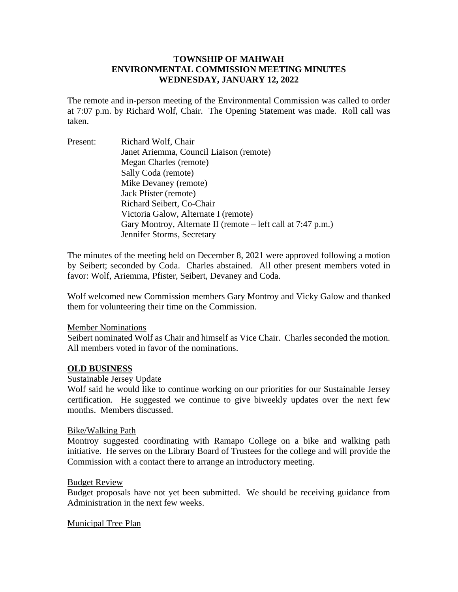## **TOWNSHIP OF MAHWAH ENVIRONMENTAL COMMISSION MEETING MINUTES WEDNESDAY, JANUARY 12, 2022**

The remote and in-person meeting of the Environmental Commission was called to order at 7:07 p.m. by Richard Wolf, Chair. The Opening Statement was made. Roll call was taken.

Present: Richard Wolf, Chair Janet Ariemma, Council Liaison (remote) Megan Charles (remote) Sally Coda (remote) Mike Devaney (remote) Jack Pfister (remote) Richard Seibert, Co-Chair Victoria Galow, Alternate I (remote) Gary Montroy, Alternate II (remote – left call at 7:47 p.m.) Jennifer Storms, Secretary

The minutes of the meeting held on December 8, 2021 were approved following a motion by Seibert; seconded by Coda. Charles abstained. All other present members voted in favor: Wolf, Ariemma, Pfister, Seibert, Devaney and Coda.

Wolf welcomed new Commission members Gary Montroy and Vicky Galow and thanked them for volunteering their time on the Commission.

### Member Nominations

Seibert nominated Wolf as Chair and himself as Vice Chair. Charles seconded the motion. All members voted in favor of the nominations.

### **OLD BUSINESS**

### Sustainable Jersey Update

Wolf said he would like to continue working on our priorities for our Sustainable Jersey certification. He suggested we continue to give biweekly updates over the next few months. Members discussed.

### Bike/Walking Path

Montroy suggested coordinating with Ramapo College on a bike and walking path initiative. He serves on the Library Board of Trustees for the college and will provide the Commission with a contact there to arrange an introductory meeting.

### Budget Review

Budget proposals have not yet been submitted. We should be receiving guidance from Administration in the next few weeks.

### Municipal Tree Plan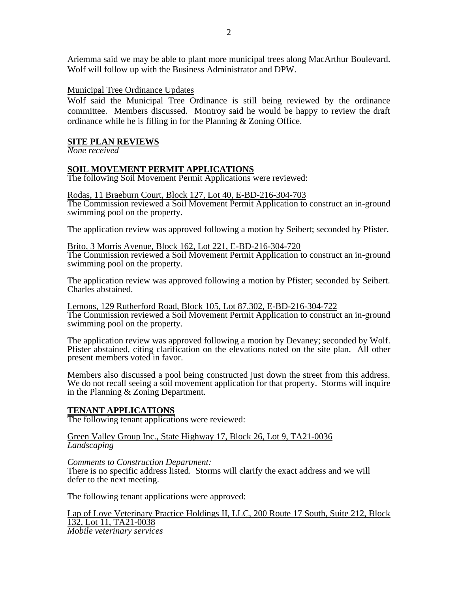Ariemma said we may be able to plant more municipal trees along MacArthur Boulevard. Wolf will follow up with the Business Administrator and DPW.

### Municipal Tree Ordinance Updates

Wolf said the Municipal Tree Ordinance is still being reviewed by the ordinance committee. Members discussed. Montroy said he would be happy to review the draft ordinance while he is filling in for the Planning & Zoning Office.

### **SITE PLAN REVIEWS**

*None received*

### **SOIL MOVEMENT PERMIT APPLICATIONS**

The following Soil Movement Permit Applications were reviewed:

#### Rodas, 11 Braeburn Court, Block 127, Lot 40, E-BD-216-304-703

The Commission reviewed a Soil Movement Permit Application to construct an in-ground swimming pool on the property.

The application review was approved following a motion by Seibert; seconded by Pfister.

# Brito, 3 Morris Avenue, Block 162, Lot 221, E-BD-216-304-720

The Commission reviewed a Soil Movement Permit Application to construct an in-ground swimming pool on the property.

The application review was approved following a motion by Pfister; seconded by Seibert. Charles abstained.

Lemons, 129 Rutherford Road, Block 105, Lot 87.302, E-BD-216-304-722 The Commission reviewed a Soil Movement Permit Application to construct an in-ground swimming pool on the property.

The application review was approved following a motion by Devaney; seconded by Wolf. Pfister abstained, citing clarification on the elevations noted on the site plan. All other present members voted in favor.

Members also discussed a pool being constructed just down the street from this address. We do not recall seeing a soil movement application for that property. Storms will inquire in the Planning & Zoning Department.

### **TENANT APPLICATIONS**

The following tenant applications were reviewed:

#### Green Valley Group Inc., State Highway 17, Block 26, Lot 9, TA21-0036 *Landscaping*

### *Comments to Construction Department:*

There is no specific address listed. Storms will clarify the exact address and we will defer to the next meeting.

The following tenant applications were approved:

Lap of Love Veterinary Practice Holdings II, LLC, 200 Route 17 South, Suite 212, Block 132, Lot 11, TA21-0038 *Mobile veterinary services*